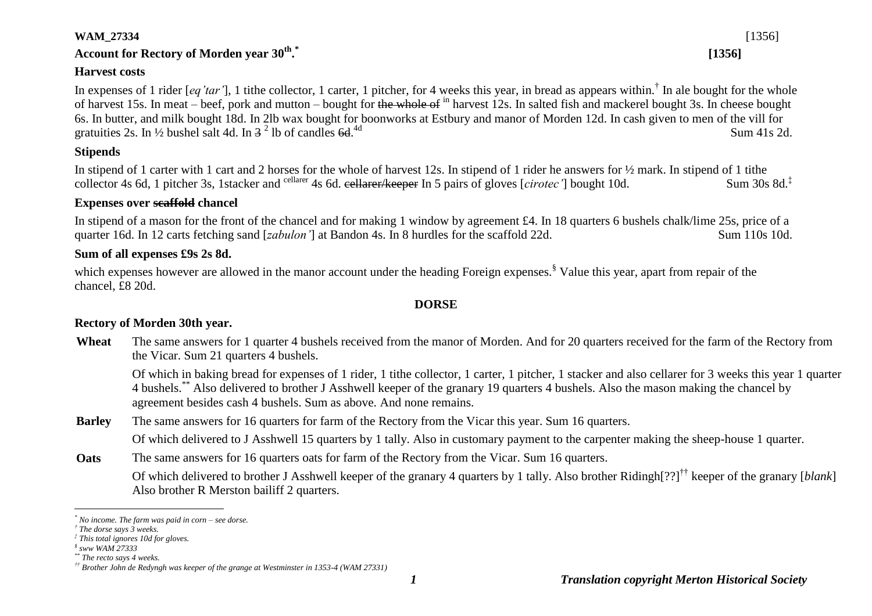#### **WAM\_27334** [1356]

# **Account for Rectory of Morden year 30th . \***

### **Harvest costs**

In expenses of 1 rider [*eq'tar'*], 1 tithe collector, 1 carter, 1 pitcher, for 4 weeks this year, in bread as appears within.<sup>†</sup> In ale bought for the whole of harvest 15s. In meat – beef, pork and mutton – bought for the whole of <sup>in</sup> harvest 12s. In salted fish and mackerel bought 3s. In cheese bought 6s. In butter, and milk bought 18d. In 2lb wax bought for boonworks at Estbury and manor of Morden 12d. In cash given to men of the vill for gratuities 2s. In  $\frac{1}{2}$  bushel salt 4d. In  $3^2$  lb of candles 6d.  $\frac{4d}{1s}$  Sum 41s 2d.

## **Stipends**

In stipend of 1 carter with 1 cart and 2 horses for the whole of harvest 12s. In stipend of 1 rider he answers for  $\frac{1}{2}$  mark. In stipend of 1 tithe collector 4s 6d, 1 pitcher 3s, 1stacker and <sup>cellarer</sup> 4s 6d. eellarer/keeper In 5 pairs of gloves [*cirotec'*] bought 10d. Sum 30s 8d.<sup>‡</sup>

## **Expenses over scaffold chancel**

In stipend of a mason for the front of the chancel and for making 1 window by agreement £4. In 18 quarters 6 bushels chalk/lime 25s, price of a quarter 16d. In 12 carts fetching sand [*zabulon'*] at Bandon 4s. In 8 hurdles for the scaffold 22d. Sum 110s 10d.

#### **Sum of all expenses £9s 2s 8d.**

which expenses however are allowed in the manor account under the heading Foreign expenses.<sup>§</sup> Value this year, apart from repair of the chancel, £8 20d.

#### **DORSE**

## **Rectory of Morden 30th year.**

**Wheat** The same answers for 1 quarter 4 bushels received from the manor of Morden. And for 20 quarters received for the farm of the Rectory from the Vicar. Sum 21 quarters 4 bushels.

Of which in baking bread for expenses of 1 rider, 1 tithe collector, 1 carter, 1 pitcher, 1 stacker and also cellarer for 3 weeks this year 1 quarter 4 bushels.\*\* Also delivered to brother J Asshwell keeper of the granary 19 quarters 4 bushels. Also the mason making the chancel by agreement besides cash 4 bushels. Sum as above. And none remains.

**Barley** The same answers for 16 quarters for farm of the Rectory from the Vicar this year. Sum 16 quarters.

Of which delivered to J Asshwell 15 quarters by 1 tally. Also in customary payment to the carpenter making the sheep-house 1 quarter.

**Oats** The same answers for 16 quarters oats for farm of the Rectory from the Vicar. Sum 16 quarters.

Of which delivered to brother J Asshwell keeper of the granary 4 quarters by 1 tally. Also brother Ridingh[??]†† keeper of the granary [*blank*] Also brother R Merston bailiff 2 quarters.

<u>.</u>

**[1356]**

*<sup>\*</sup> No income. The farm was paid in corn – see dorse.*

*<sup>†</sup> The dorse says 3 weeks.*

*<sup>‡</sup> This total ignores 10d for gloves.*

*<sup>§</sup> sww WAM 27333*

*<sup>\*\*</sup> The recto says 4 weeks.*

*<sup>††</sup> Brother John de Redyngh was keeper of the grange at Westminster in 1353-4 (WAM 27331)*